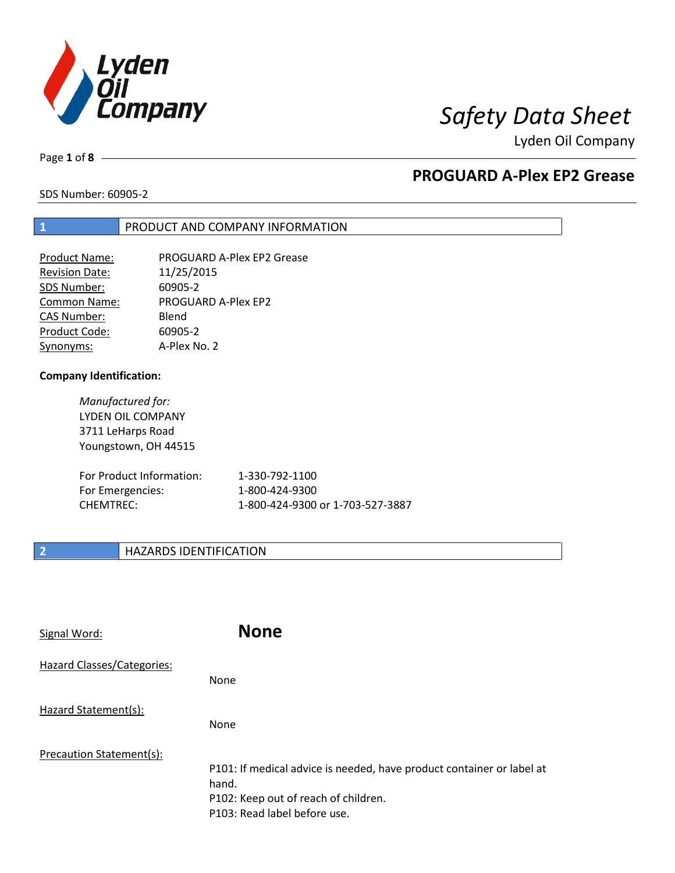

Page **1** of **8**

# **PROGUARD A-Plex EP2 Grease**

SDS Number: 60905-2

## **1** PRODUCT AND COMPANY INFORMATION

| <b>Product Name:</b>  | PROGUARD A-Plex EP2 Grease |
|-----------------------|----------------------------|
| <b>Revision Date:</b> | 11/25/2015                 |
| SDS Number:           | 60905-2                    |
| <b>Common Name:</b>   | <b>PROGUARD A-Plex EP2</b> |
| <b>CAS Number:</b>    | Blend                      |
| Product Code:         | 60905-2                    |
| Synonyms:             | A-Plex No. 2               |

### **Company Identification:**

*Manufactured for:* LYDEN OIL COMPANY 3711 LeHarps Road Youngstown, OH 44515

| For Product Information: | 1-330-792-1100                   |
|--------------------------|----------------------------------|
| For Emergencies:         | 1-800-424-9300                   |
| CHEMTREC:                | 1-800-424-9300 or 1-703-527-3887 |

## **2 HAZARDS IDENTIFICATION**

| Signal Word:               | <b>None</b>                                                                                                                                            |
|----------------------------|--------------------------------------------------------------------------------------------------------------------------------------------------------|
| Hazard Classes/Categories: | None                                                                                                                                                   |
| Hazard Statement(s):       | None                                                                                                                                                   |
| Precaution Statement(s):   | P101: If medical advice is needed, have product container or label at<br>hand.<br>P102: Keep out of reach of children.<br>P103: Read label before use. |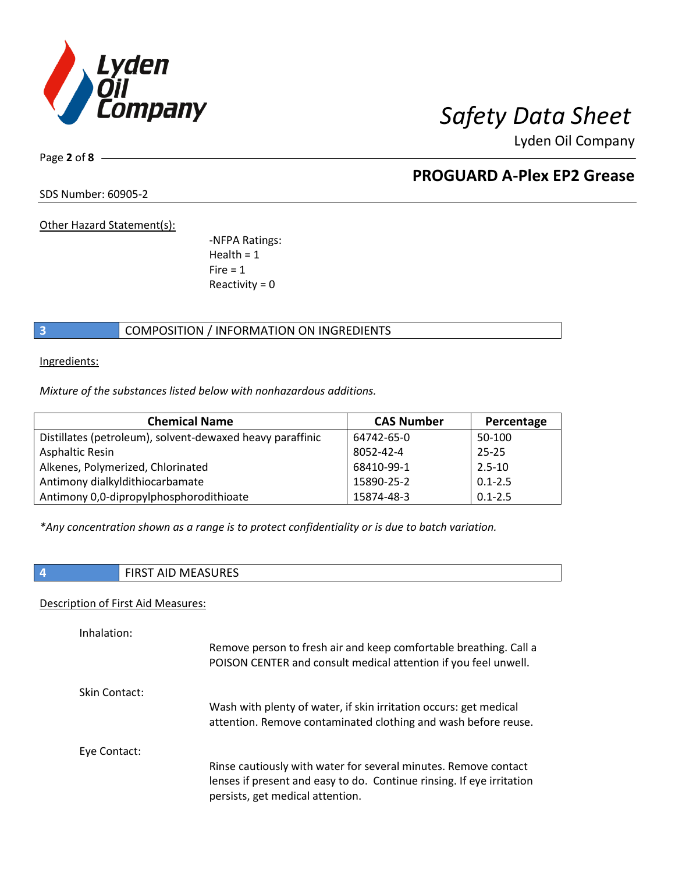

Page **2** of **8**

# **PROGUARD A-Plex EP2 Grease**

SDS Number: 60905-2

Other Hazard Statement(s):

-NFPA Ratings:  $Health = 1$  $Fire = 1$ Reactivity  $= 0$ 

## **3** COMPOSITION / INFORMATION ON INGREDIENTS

Ingredients:

*Mixture of the substances listed below with nonhazardous additions.*

| <b>Chemical Name</b>                                      | <b>CAS Number</b> | Percentage  |
|-----------------------------------------------------------|-------------------|-------------|
| Distillates (petroleum), solvent-dewaxed heavy paraffinic | 64742-65-0        | 50-100      |
| <b>Asphaltic Resin</b>                                    | 8052-42-4         | $25 - 25$   |
| Alkenes, Polymerized, Chlorinated                         | 68410-99-1        | $2.5 - 10$  |
| Antimony dialkyldithiocarbamate                           | 15890-25-2        | $0.1 - 2.5$ |
| Antimony 0,0-dipropylphosphorodithioate                   | 15874-48-3        | $0.1 - 2.5$ |

*\*Any concentration shown as a range is to protect confidentiality or is due to batch variation.*

| <b>FIRST AID MEASURES</b> |
|---------------------------|
|                           |

## Description of First Aid Measures:

| Inhalation:   | Remove person to fresh air and keep comfortable breathing. Call a<br>POISON CENTER and consult medical attention if you feel unwell.                                         |
|---------------|------------------------------------------------------------------------------------------------------------------------------------------------------------------------------|
| Skin Contact: | Wash with plenty of water, if skin irritation occurs: get medical<br>attention. Remove contaminated clothing and wash before reuse.                                          |
| Eye Contact:  | Rinse cautiously with water for several minutes. Remove contact<br>lenses if present and easy to do. Continue rinsing. If eye irritation<br>persists, get medical attention. |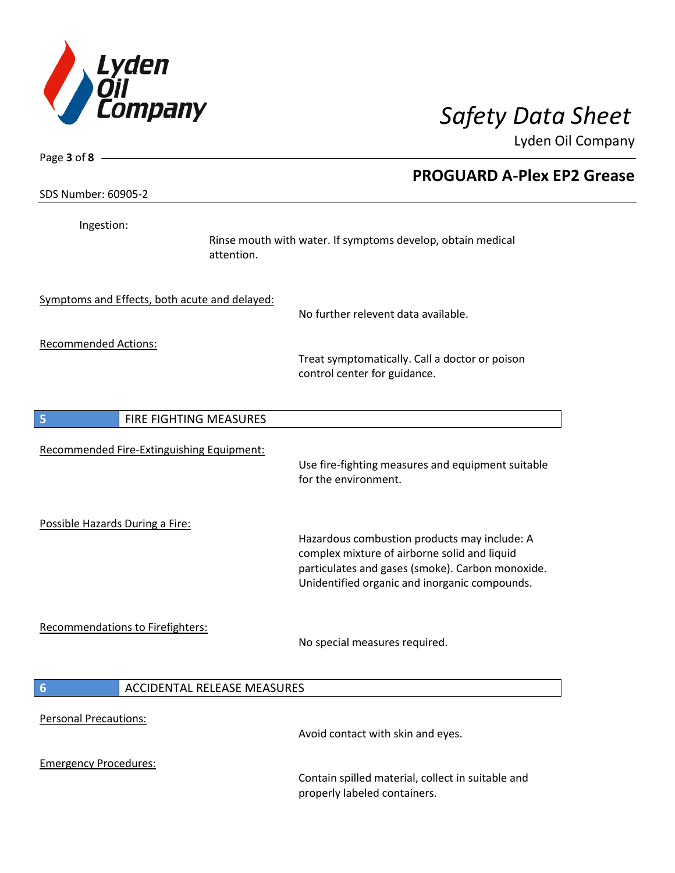

| Page $3$ of $8$ -                             |                                                                                                                                                                                                   |
|-----------------------------------------------|---------------------------------------------------------------------------------------------------------------------------------------------------------------------------------------------------|
| SDS Number: 60905-2                           | <b>PROGUARD A-Plex EP2 Grease</b>                                                                                                                                                                 |
| Ingestion:                                    | Rinse mouth with water. If symptoms develop, obtain medical<br>attention.                                                                                                                         |
| Symptoms and Effects, both acute and delayed: | No further relevent data available.                                                                                                                                                               |
| <b>Recommended Actions:</b>                   | Treat symptomatically. Call a doctor or poison<br>control center for guidance.                                                                                                                    |
| 5<br>FIRE FIGHTING MEASURES                   |                                                                                                                                                                                                   |
| Recommended Fire-Extinguishing Equipment:     | Use fire-fighting measures and equipment suitable<br>for the environment.                                                                                                                         |
| Possible Hazards During a Fire:               | Hazardous combustion products may include: A<br>complex mixture of airborne solid and liquid<br>particulates and gases (smoke). Carbon monoxide.<br>Unidentified organic and inorganic compounds. |
| Recommendations to Firefighters:              | No special measures required.                                                                                                                                                                     |
| 6<br><b>ACCIDENTAL RELEASE MEASURES</b>       |                                                                                                                                                                                                   |
| <b>Personal Precautions:</b>                  | Avoid contact with skin and eyes.                                                                                                                                                                 |
| <b>Emergency Procedures:</b>                  | Contain spilled material, collect in suitable and<br>properly labeled containers.                                                                                                                 |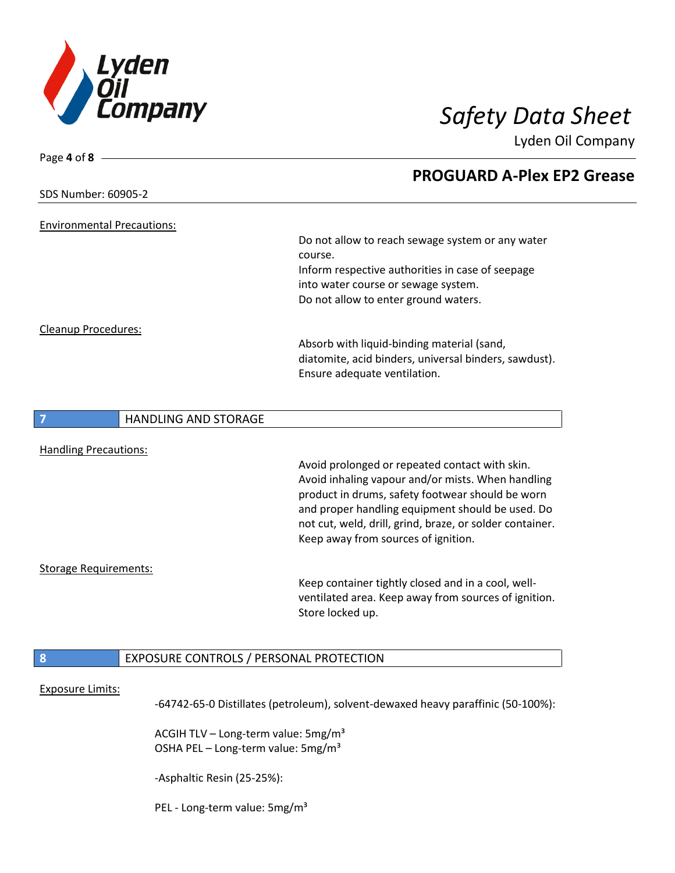

| SDS Number: 60905-2                     |                                                                                       |
|-----------------------------------------|---------------------------------------------------------------------------------------|
|                                         |                                                                                       |
|                                         |                                                                                       |
| <b>Environmental Precautions:</b>       |                                                                                       |
|                                         | Do not allow to reach sewage system or any water<br>course.                           |
|                                         | Inform respective authorities in case of seepage                                      |
|                                         | into water course or sewage system.                                                   |
|                                         | Do not allow to enter ground waters.                                                  |
|                                         |                                                                                       |
| Cleanup Procedures:                     |                                                                                       |
|                                         | Absorb with liquid-binding material (sand,                                            |
|                                         | diatomite, acid binders, universal binders, sawdust).<br>Ensure adequate ventilation. |
|                                         |                                                                                       |
| <b>HANDLING AND STORAGE</b>             |                                                                                       |
|                                         |                                                                                       |
| <b>Handling Precautions:</b>            |                                                                                       |
|                                         | Avoid prolonged or repeated contact with skin.                                        |
|                                         | Avoid inhaling vapour and/or mists. When handling                                     |
|                                         | product in drums, safety footwear should be worn                                      |
|                                         | and proper handling equipment should be used. Do                                      |
|                                         | not cut, weld, drill, grind, braze, or solder container.                              |
|                                         | Keep away from sources of ignition.                                                   |
| <b>Storage Requirements:</b>            |                                                                                       |
|                                         | Keep container tightly closed and in a cool, well-                                    |
|                                         | ventilated area. Keep away from sources of ignition.                                  |
|                                         | Store locked up.                                                                      |
|                                         |                                                                                       |
| EXPOSURE CONTROLS / PERSONAL PROTECTION |                                                                                       |
|                                         |                                                                                       |

-64742-65-0 Distillates (petroleum), solvent-dewaxed heavy paraffinic (50-100%):

ACGIH TLV - Long-term value: 5mg/m<sup>3</sup> OSHA PEL - Long-term value: 5mg/m<sup>3</sup>

-Asphaltic Resin (25-25%):

PEL - Long-term value: 5mg/m<sup>3</sup>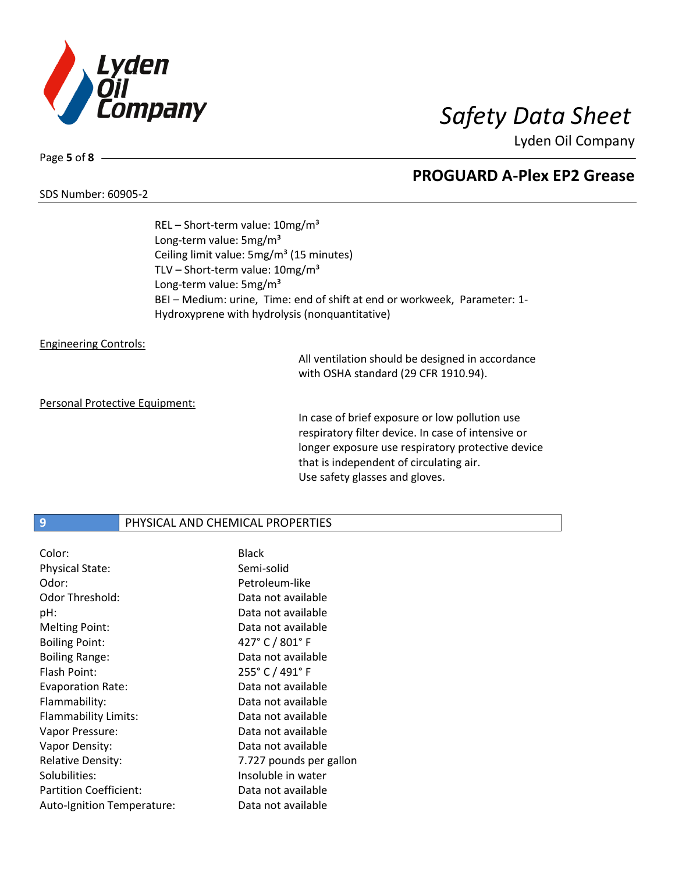

### SDS Number: 60905-2

Page **5** of **8**

**PROGUARD A-Plex EP2 Grease**

REL – Short-term value: 10mg/m³ Long-term value: 5mg/m<sup>3</sup> Ceiling limit value: 5mg/m<sup>3</sup> (15 minutes) TLV – Short-term value:  $10mg/m^3$ Long-term value: 5mg/m<sup>3</sup> BEI – Medium: urine, Time: end of shift at end or workweek, Parameter: 1- Hydroxyprene with hydrolysis (nonquantitative)

### Engineering Controls:

All ventilation should be designed in accordance with OSHA standard (29 CFR 1910.94).

### Personal Protective Equipment:

In case of brief exposure or low pollution use respiratory filter device. In case of intensive or longer exposure use respiratory protective device that is independent of circulating air. Use safety glasses and gloves.

### **9** PHYSICAL AND CHEMICAL PROPERTIES

| Color:                        | <b>Black</b>            |
|-------------------------------|-------------------------|
| <b>Physical State:</b>        | Semi-solid              |
| Odor:                         | Petroleum-like          |
| Odor Threshold:               | Data not available      |
| pH:                           | Data not available      |
| <b>Melting Point:</b>         | Data not available      |
| <b>Boiling Point:</b>         | 427° C / 801° F         |
| <b>Boiling Range:</b>         | Data not available      |
| Flash Point:                  | 255° C / 491° F         |
| <b>Evaporation Rate:</b>      | Data not available      |
| Flammability:                 | Data not available      |
| Flammability Limits:          | Data not available      |
| Vapor Pressure:               | Data not available      |
| Vapor Density:                | Data not available      |
| <b>Relative Density:</b>      | 7.727 pounds per gallon |
| Solubilities:                 | Insoluble in water      |
| <b>Partition Coefficient:</b> | Data not available      |
| Auto-Ignition Temperature:    | Data not available      |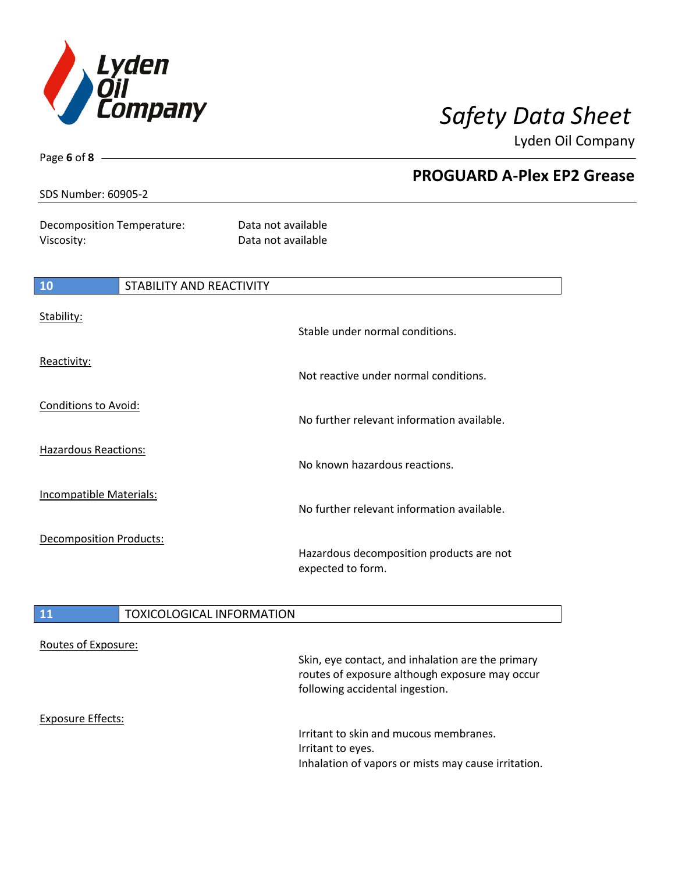

Page **6** of **8**

Lyden Oil Company

|                                          |                                 | <b>PROGUARD A-Plex EP2 Grease</b>                             |  |
|------------------------------------------|---------------------------------|---------------------------------------------------------------|--|
| SDS Number: 60905-2                      |                                 |                                                               |  |
| Decomposition Temperature:<br>Viscosity: |                                 | Data not available<br>Data not available                      |  |
| 10                                       | <b>STABILITY AND REACTIVITY</b> |                                                               |  |
| Stability:                               |                                 | Stable under normal conditions.                               |  |
| Reactivity:                              |                                 | Not reactive under normal conditions.                         |  |
| Conditions to Avoid:                     |                                 | No further relevant information available.                    |  |
| Hazardous Reactions:                     |                                 | No known hazardous reactions.                                 |  |
| <b>Incompatible Materials:</b>           |                                 | No further relevant information available.                    |  |
| Decomposition Products:                  |                                 | Hazardous decomposition products are not<br>expected to form. |  |

# 11 **TOXICOLOGICAL INFORMATION**

| Routes of Exposure: | Skin, eye contact, and inhalation are the primary<br>routes of exposure although exposure may occur<br>following accidental ingestion. |
|---------------------|----------------------------------------------------------------------------------------------------------------------------------------|
| Exposure Effects:   | Irritant to skin and mucous membranes.<br>Irritant to eyes.<br>Inhalation of vapors or mists may cause irritation.                     |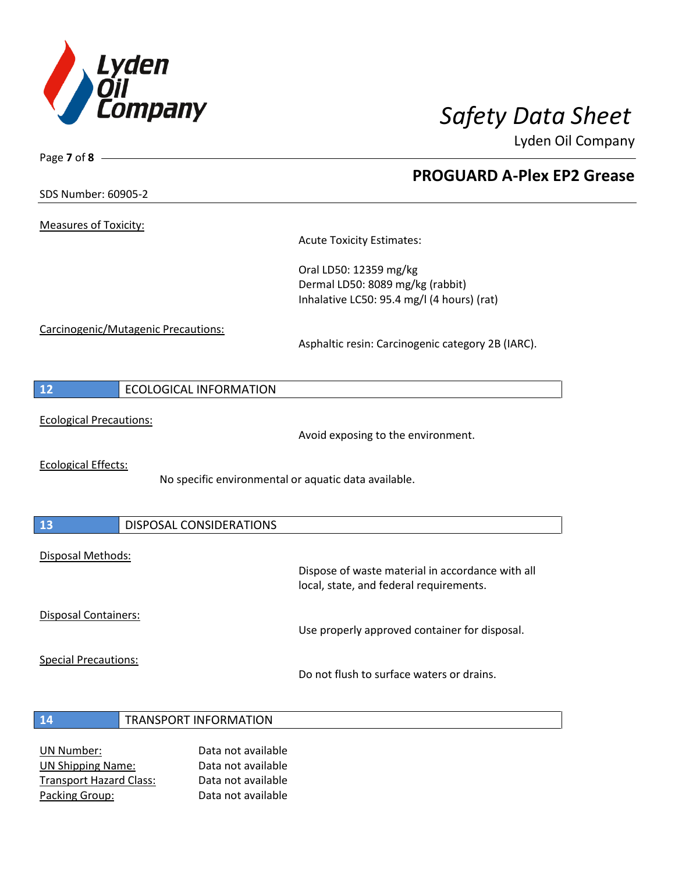

**PROGUARD A-Plex EP2 Grease**

Lyden Oil Company

SDS Number: 60905-2

Page **7** of **8**

Measures of Toxicity:

Acute Toxicity Estimates:

Oral LD50: 12359 mg/kg Dermal LD50: 8089 mg/kg (rabbit) Inhalative LC50: 95.4 mg/l (4 hours) (rat)

Carcinogenic/Mutagenic Precautions:

Asphaltic resin: Carcinogenic category 2B (IARC).

| ECOLOGICAL INFORMATION<br>$\overline{12}$ |
|-------------------------------------------|
|-------------------------------------------|

Ecological Precautions:

Avoid exposing to the environment.

Ecological Effects:

No specific environmental or aquatic data available.

| 13                   | DISPOSAL CONSIDERATIONS |                                                                                             |
|----------------------|-------------------------|---------------------------------------------------------------------------------------------|
| Disposal Methods:    |                         | Dispose of waste material in accordance with all<br>local, state, and federal requirements. |
| Disposal Containers: |                         |                                                                                             |

Use properly approved container for disposal.

Special Precautions:

Do not flush to surface waters or drains.

- **14** TRANSPORT INFORMATION
- UN Number: Data not available UN Shipping Name: Data not available Transport Hazard Class: Data not available Packing Group: Data not available